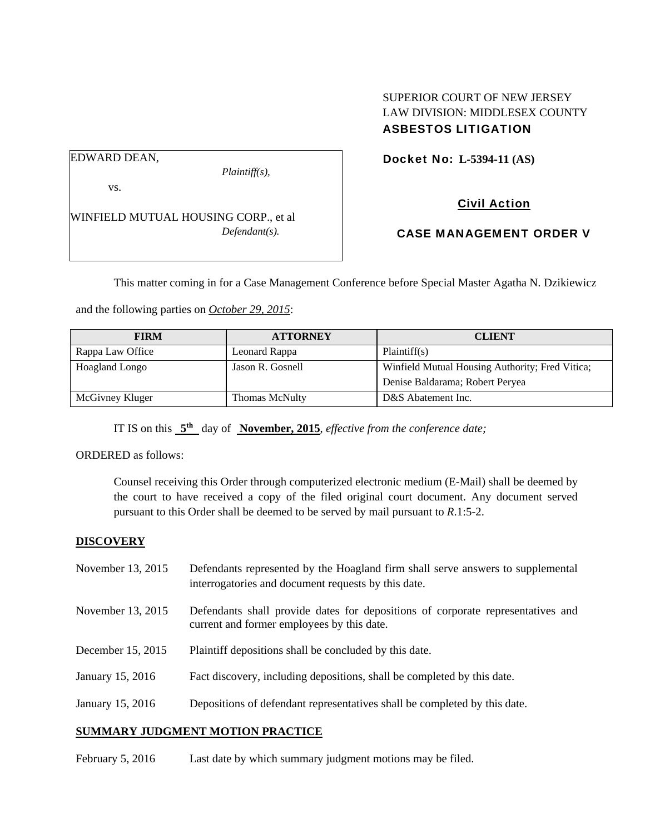## EDWARD DEAN,

vs.

*Plaintiff(s),* 

Docket No: **L-5394-11 (AS)** 

SUPERIOR COURT OF NEW JERSEY LAW DIVISION: MIDDLESEX COUNTY

ASBESTOS LITIGATION

WINFIELD MUTUAL HOUSING CORP., et al *Defendant(s).* 

Civil Action

CASE MANAGEMENT ORDER V

This matter coming in for a Case Management Conference before Special Master Agatha N. Dzikiewicz

and the following parties on *October 29, 2015*:

| <b>FIRM</b>      | <b>ATTORNEY</b>       | <b>CLIENT</b>                                   |
|------------------|-----------------------|-------------------------------------------------|
| Rappa Law Office | Leonard Rappa         | Plaintiff(s)                                    |
| Hoagland Longo   | Jason R. Gosnell      | Winfield Mutual Housing Authority; Fred Vitica; |
|                  |                       | Denise Baldarama; Robert Peryea                 |
| McGivney Kluger  | <b>Thomas McNulty</b> | D&S Abatement Inc.                              |

IT IS on this **5th** day of **November, 2015**, *effective from the conference date;*

ORDERED as follows:

Counsel receiving this Order through computerized electronic medium (E-Mail) shall be deemed by the court to have received a copy of the filed original court document. Any document served pursuant to this Order shall be deemed to be served by mail pursuant to *R*.1:5-2.

## **DISCOVERY**

| November 13, 2015 | Defendants represented by the Hoagland firm shall serve answers to supplemental<br>interrogatories and document requests by this date. |
|-------------------|----------------------------------------------------------------------------------------------------------------------------------------|
| November 13, 2015 | Defendants shall provide dates for depositions of corporate representatives and<br>current and former employees by this date.          |
| December 15, 2015 | Plaintiff depositions shall be concluded by this date.                                                                                 |
| January 15, 2016  | Fact discovery, including depositions, shall be completed by this date.                                                                |
| January 15, 2016  | Depositions of defendant representatives shall be completed by this date.                                                              |

# **SUMMARY JUDGMENT MOTION PRACTICE**

February 5, 2016 Last date by which summary judgment motions may be filed.